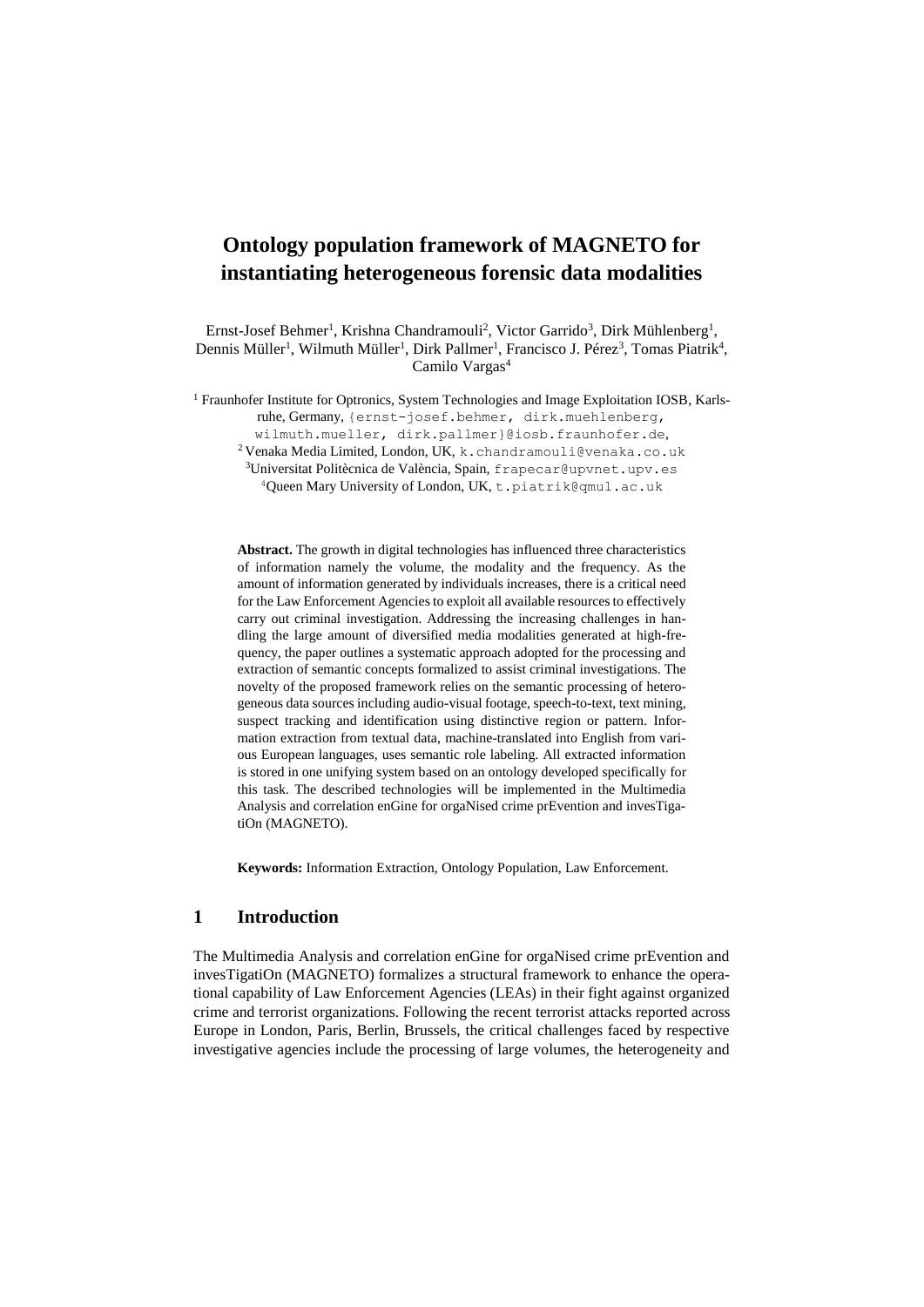# **Ontology population framework of MAGNETO for instantiating heterogeneous forensic data modalities**

Ernst-Josef Behmer<sup>1</sup>, Krishna Chandramouli<sup>2</sup>, Victor Garrido<sup>3</sup>, Dirk Mühlenberg<sup>1</sup>, Dennis Müller<sup>1</sup>, Wilmuth Müller<sup>1</sup>, Dirk Pallmer<sup>1</sup>, Francisco J. Pérez<sup>3</sup>, Tomas Piatrik<sup>4</sup>, Camilo Vargas<sup>4</sup>

<sup>1</sup> Fraunhofer Institute for Optronics, System Technologies and Image Exploitation IOSB, Karlsruhe, Germany, [{ernst-josef.behmer, dirk.muehlenberg,](mailto:%7bernst-josef.behmer,%20dirk.muehlenberg,%20dennis.mueller,%20wilmuth.mueller,%20dirk.pallmer%7d@iosb.fraunhofer.de)  [wilmuth.mueller, dirk.pallmer}@iosb.fraunhofer.de](mailto:%7bernst-josef.behmer,%20dirk.muehlenberg,%20dennis.mueller,%20wilmuth.mueller,%20dirk.pallmer%7d@iosb.fraunhofer.de), <sup>2</sup>Venaka Media Limited, London, UK, [k.chandramouli@venaka.co.uk](mailto:k.chandramouli@venaka.co.uk)

<sup>3</sup>Universitat Politècnica de València, Spain, [frapecar@upvnet.upv.es](mailto:frapecar@upvnet.upv.es) <sup>4</sup>Queen Mary University of London, UK, t.piatrik@qmul.ac.uk

**Abstract.** The growth in digital technologies has influenced three characteristics of information namely the volume, the modality and the frequency. As the amount of information generated by individuals increases, there is a critical need for the Law Enforcement Agencies to exploit all available resources to effectively carry out criminal investigation. Addressing the increasing challenges in handling the large amount of diversified media modalities generated at high-frequency, the paper outlines a systematic approach adopted for the processing and extraction of semantic concepts formalized to assist criminal investigations. The novelty of the proposed framework relies on the semantic processing of heterogeneous data sources including audio-visual footage, speech-to-text, text mining, suspect tracking and identification using distinctive region or pattern. Information extraction from textual data, machine-translated into English from various European languages, uses semantic role labeling. All extracted information is stored in one unifying system based on an ontology developed specifically for this task. The described technologies will be implemented in the Multimedia Analysis and correlation enGine for orgaNised crime prEvention and invesTigatiOn (MAGNETO).

**Keywords:** Information Extraction, Ontology Population, Law Enforcement.

# **1 Introduction**

The Multimedia Analysis and correlation enGine for orgaNised crime prEvention and invesTigatiOn (MAGNETO) formalizes a structural framework to enhance the operational capability of Law Enforcement Agencies (LEAs) in their fight against organized crime and terrorist organizations. Following the recent terrorist attacks reported across Europe in London, Paris, Berlin, Brussels, the critical challenges faced by respective investigative agencies include the processing of large volumes, the heterogeneity and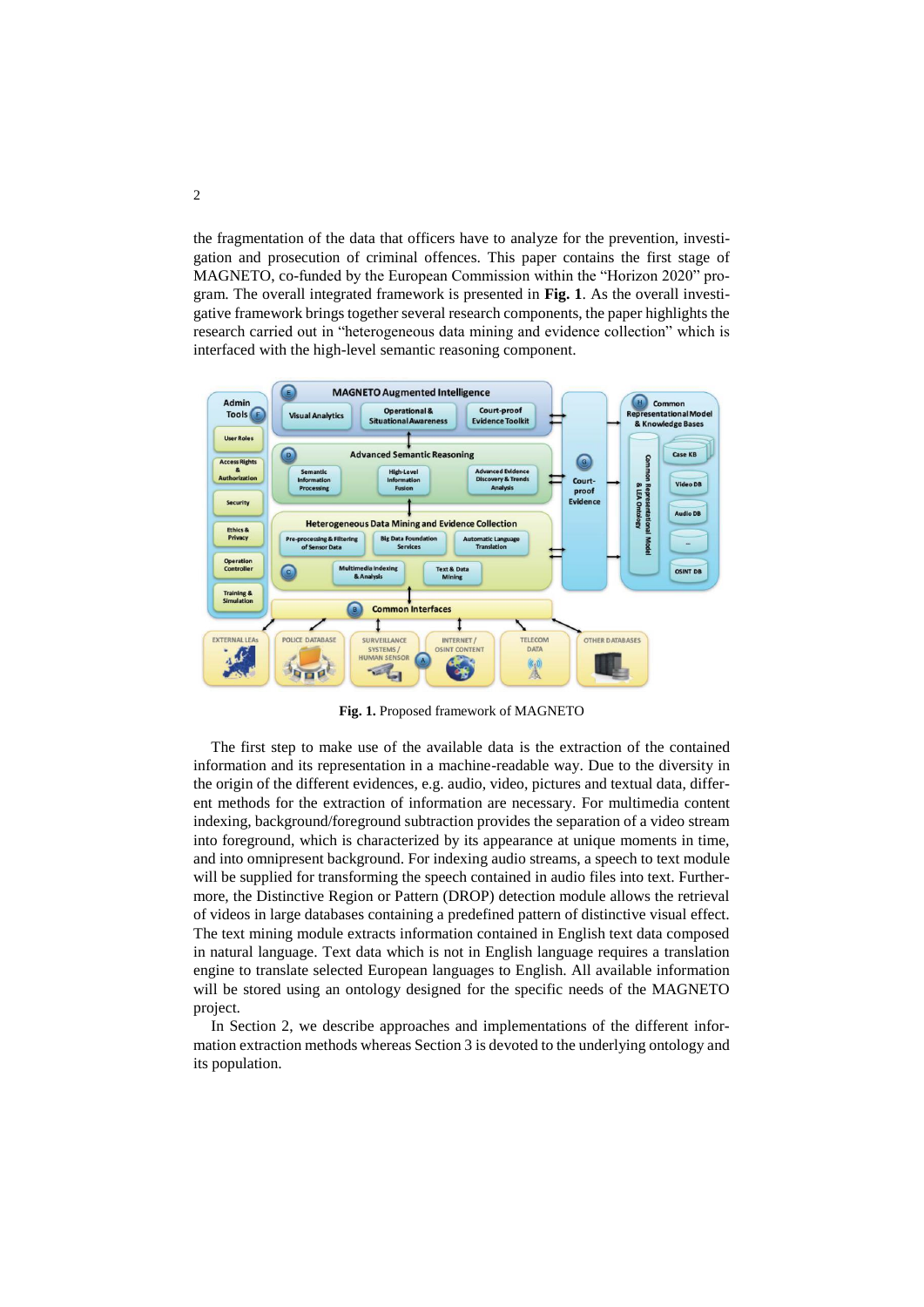the fragmentation of the data that officers have to analyze for the prevention, investigation and prosecution of criminal offences. This paper contains the first stage of MAGNETO, co-funded by the European Commission within the "Horizon 2020" program. The overall integrated framework is presented in **[Fig. 1](#page-1-0)**. As the overall investigative framework brings together several research components, the paper highlights the research carried out in "heterogeneous data mining and evidence collection" which is interfaced with the high-level semantic reasoning component.



**Fig. 1.** Proposed framework of MAGNETO

<span id="page-1-0"></span>The first step to make use of the available data is the extraction of the contained information and its representation in a machine-readable way. Due to the diversity in the origin of the different evidences, e.g. audio, video, pictures and textual data, different methods for the extraction of information are necessary. For multimedia content indexing, background/foreground subtraction provides the separation of a video stream into foreground, which is characterized by its appearance at unique moments in time, and into omnipresent background. For indexing audio streams, a speech to text module will be supplied for transforming the speech contained in audio files into text. Furthermore, the Distinctive Region or Pattern (DROP) detection module allows the retrieval of videos in large databases containing a predefined pattern of distinctive visual effect. The text mining module extracts information contained in English text data composed in natural language. Text data which is not in English language requires a translation engine to translate selected European languages to English. All available information will be stored using an ontology designed for the specific needs of the MAGNETO project.

In Section 2, we describe approaches and implementations of the different information extraction methods whereas Section 3 is devoted to the underlying ontology and its population.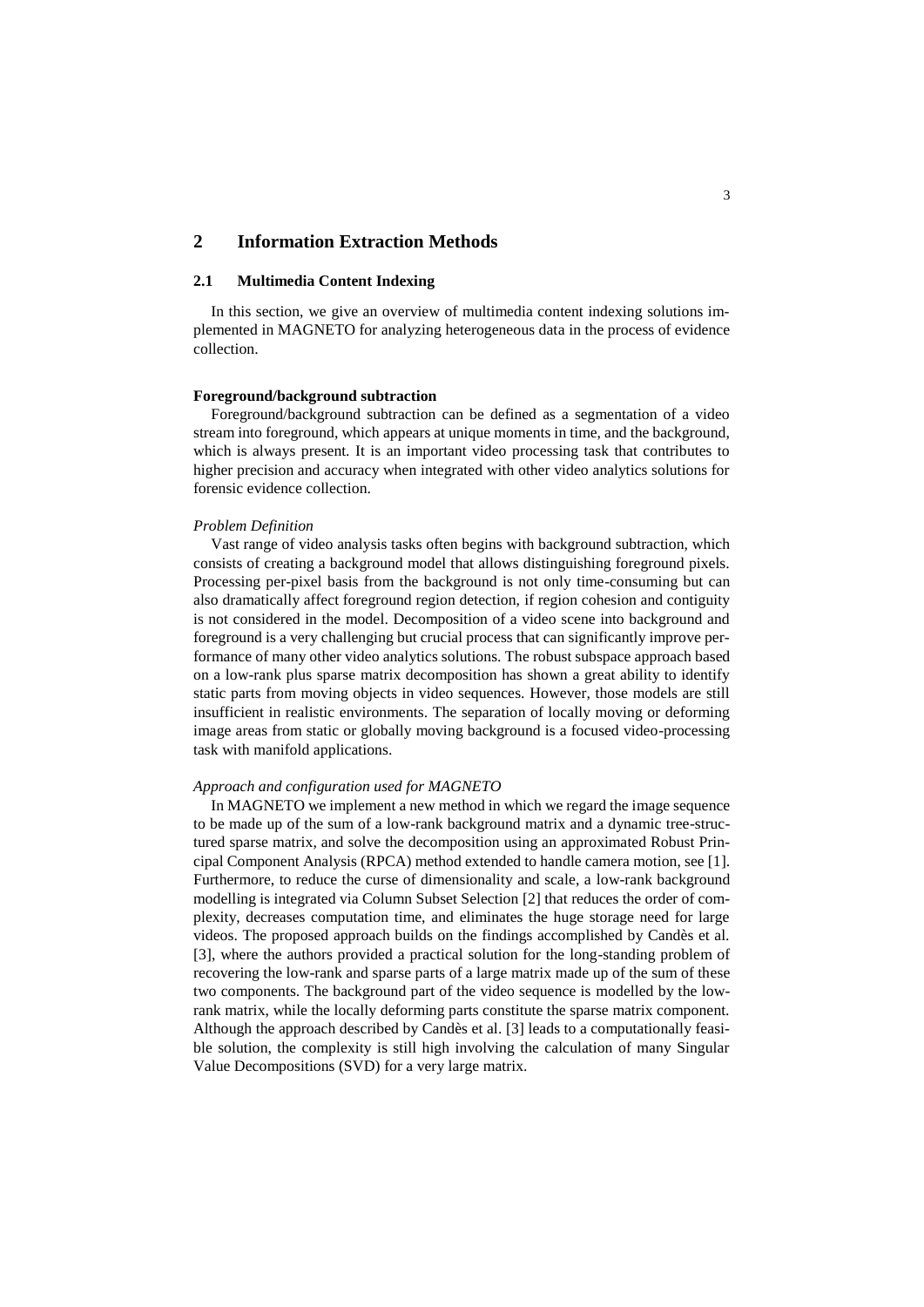# <span id="page-2-0"></span>**2 Information Extraction Methods**

## **2.1 Multimedia Content Indexing**

In this section, we give an overview of multimedia content indexing solutions implemented in MAGNETO for analyzing heterogeneous data in the process of evidence collection.

#### **Foreground/background subtraction**

Foreground/background subtraction can be defined as a segmentation of a video stream into foreground, which appears at unique moments in time, and the background, which is always present. It is an important video processing task that contributes to higher precision and accuracy when integrated with other video analytics solutions for forensic evidence collection.

#### *Problem Definition*

Vast range of video analysis tasks often begins with background subtraction, which consists of creating a background model that allows distinguishing foreground pixels. Processing per-pixel basis from the background is not only time-consuming but can also dramatically affect foreground region detection, if region cohesion and contiguity is not considered in the model. Decomposition of a video scene into background and foreground is a very challenging but crucial process that can significantly improve performance of many other video analytics solutions. The robust subspace approach based on a low-rank plus sparse matrix decomposition has shown a great ability to identify static parts from moving objects in video sequences. However, those models are still insufficient in realistic environments. The separation of locally moving or deforming image areas from static or globally moving background is a focused video-processing task with manifold applications.

#### *Approach and configuration used for MAGNETO*

In MAGNETO we implement a new method in which we regard the image sequence to be made up of the sum of a low-rank background matrix and a dynamic tree-structured sparse matrix, and solve the decomposition using an approximated Robust Principal Component Analysis (RPCA) method extended to handle camera motion, see [\[1\]](#page-11-0). Furthermore, to reduce the curse of dimensionality and scale, a low-rank background modelling is integrated via Column Subset Selection [\[2\]](#page-11-1) that reduces the order of complexity, decreases computation time, and eliminates the huge storage need for large videos. The proposed approach builds on the findings accomplished by Candès et al. [\[3\]](#page-11-2), where the authors provided a practical solution for the long-standing problem of recovering the low-rank and sparse parts of a large matrix made up of the sum of these two components. The background part of the video sequence is modelled by the lowrank matrix, while the locally deforming parts constitute the sparse matrix component. Although the approach described by Candès et al. [\[3\]](#page-11-2) leads to a computationally feasible solution, the complexity is still high involving the calculation of many Singular Value Decompositions (SVD) for a very large matrix.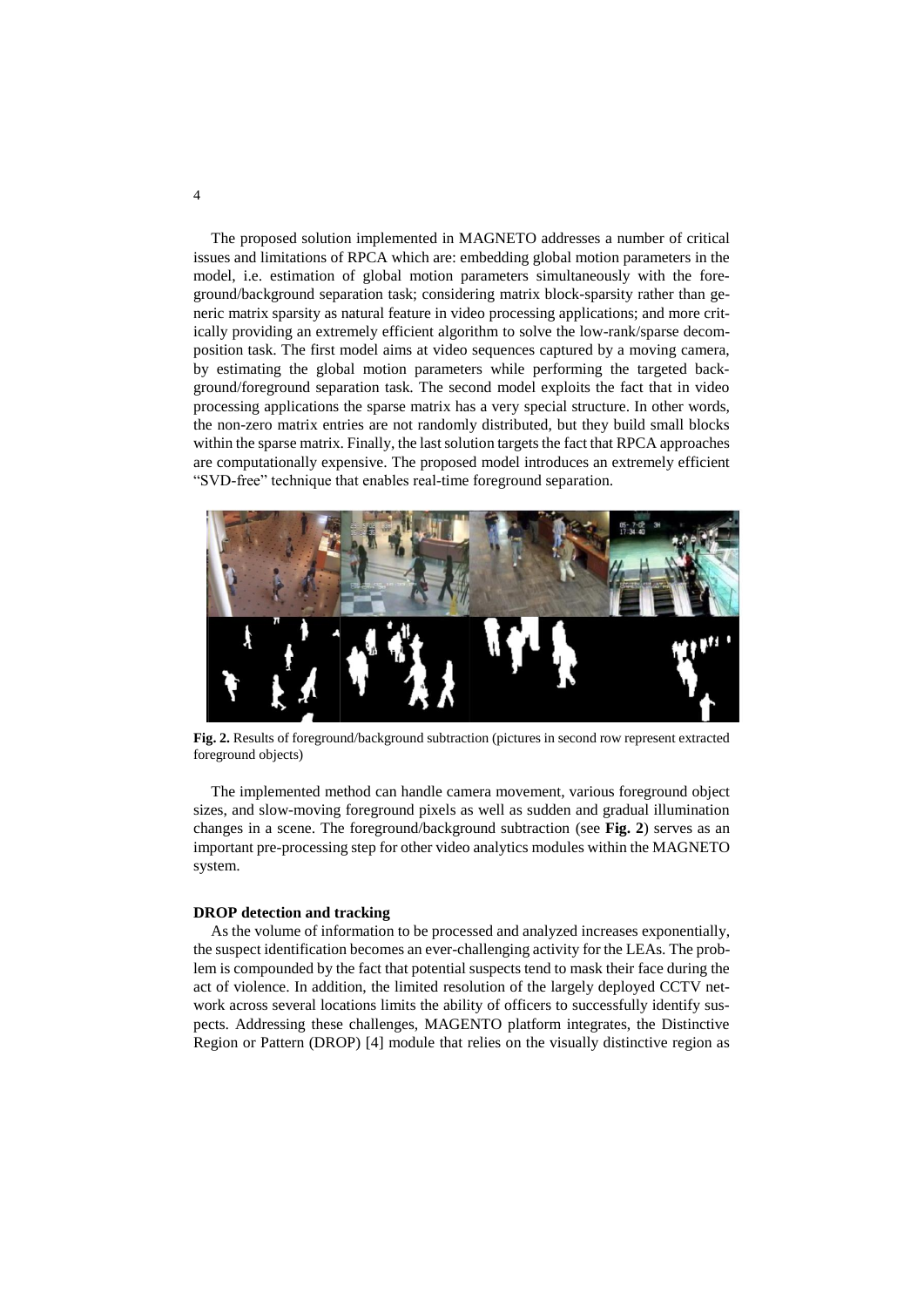The proposed solution implemented in MAGNETO addresses a number of critical issues and limitations of RPCA which are: embedding global motion parameters in the model, i.e. estimation of global motion parameters simultaneously with the foreground/background separation task; considering matrix block-sparsity rather than generic matrix sparsity as natural feature in video processing applications; and more critically providing an extremely efficient algorithm to solve the low-rank/sparse decomposition task. The first model aims at video sequences captured by a moving camera, by estimating the global motion parameters while performing the targeted background/foreground separation task. The second model exploits the fact that in video processing applications the sparse matrix has a very special structure. In other words, the non-zero matrix entries are not randomly distributed, but they build small blocks within the sparse matrix. Finally, the last solution targets the fact that RPCA approaches are computationally expensive. The proposed model introduces an extremely efficient "SVD-free" technique that enables real-time foreground separation.



**Fig. 2.** Results of foreground/background subtraction (pictures in second row represent extracted foreground objects)

<span id="page-3-0"></span>The implemented method can handle camera movement, various foreground object sizes, and slow-moving foreground pixels as well as sudden and gradual illumination changes in a scene. The foreground/background subtraction (see **[Fig. 2](#page-3-0)**) serves as an important pre-processing step for other video analytics modules within the MAGNETO system.

#### **DROP detection and tracking**

As the volume of information to be processed and analyzed increases exponentially, the suspect identification becomes an ever-challenging activity for the LEAs. The problem is compounded by the fact that potential suspects tend to mask their face during the act of violence. In addition, the limited resolution of the largely deployed CCTV network across several locations limits the ability of officers to successfully identify suspects. Addressing these challenges, MAGENTO platform integrates, the Distinctive Region or Pattern (DROP) [\[4\]](#page-11-3) module that relies on the visually distinctive region as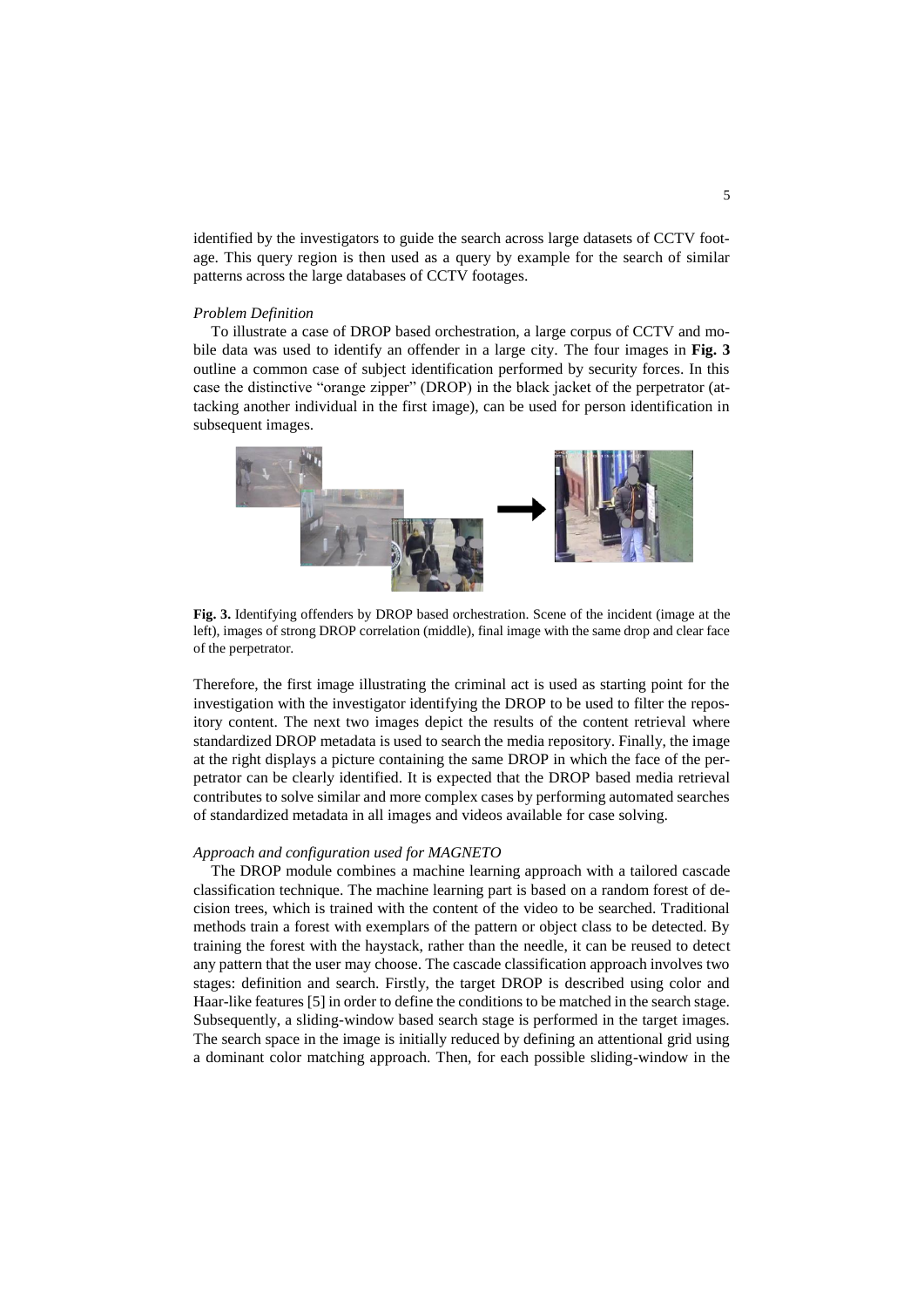identified by the investigators to guide the search across large datasets of CCTV footage. This query region is then used as a query by example for the search of similar patterns across the large databases of CCTV footages.

### *Problem Definition*

To illustrate a case of DROP based orchestration, a large corpus of CCTV and mobile data was used to identify an offender in a large city. The four images in **[Fig. 3](#page-4-0)** outline a common case of subject identification performed by security forces. In this case the distinctive "orange zipper" (DROP) in the black jacket of the perpetrator (attacking another individual in the first image), can be used for person identification in subsequent images.



**Fig. 3.** Identifying offenders by DROP based orchestration. Scene of the incident (image at the left), images of strong DROP correlation (middle), final image with the same drop and clear face of the perpetrator.

<span id="page-4-0"></span>Therefore, the first image illustrating the criminal act is used as starting point for the investigation with the investigator identifying the DROP to be used to filter the repository content. The next two images depict the results of the content retrieval where standardized DROP metadata is used to search the media repository. Finally, the image at the right displays a picture containing the same DROP in which the face of the perpetrator can be clearly identified. It is expected that the DROP based media retrieval contributes to solve similar and more complex cases by performing automated searches of standardized metadata in all images and videos available for case solving.

#### *Approach and configuration used for MAGNETO*

The DROP module combines a machine learning approach with a tailored cascade classification technique. The machine learning part is based on a random forest of decision trees, which is trained with the content of the video to be searched. Traditional methods train a forest with exemplars of the pattern or object class to be detected. By training the forest with the haystack, rather than the needle, it can be reused to detect any pattern that the user may choose. The cascade classification approach involves two stages: definition and search. Firstly, the target DROP is described using color and Haar-like features [\[5\]](#page-11-4) in order to define the conditions to be matched in the search stage. Subsequently, a sliding-window based search stage is performed in the target images. The search space in the image is initially reduced by defining an attentional grid using a dominant color matching approach. Then, for each possible sliding-window in the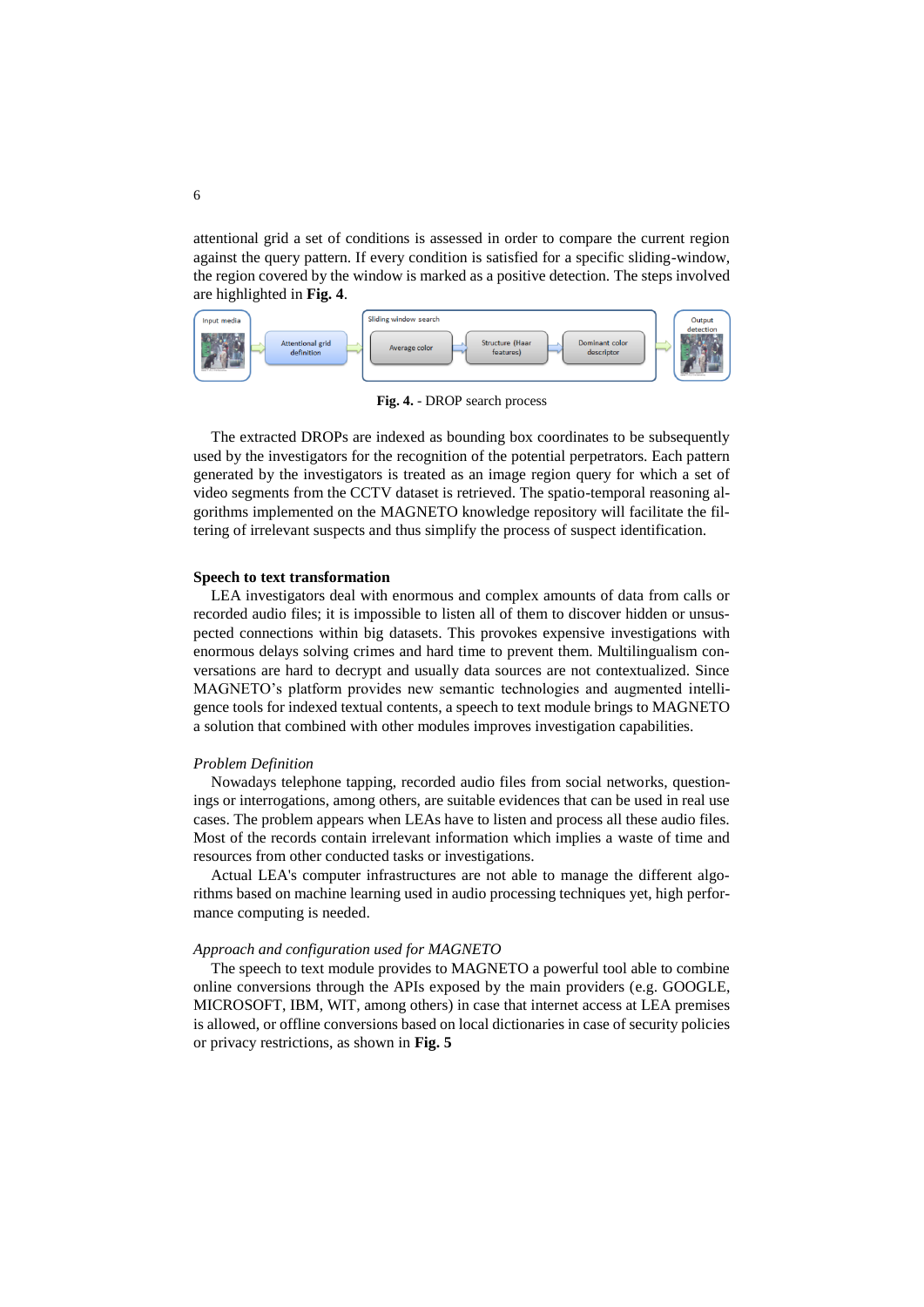attentional grid a set of conditions is assessed in order to compare the current region against the query pattern. If every condition is satisfied for a specific sliding-window, the region covered by the window is marked as a positive detection. The steps involved are highlighted in **[Fig. 4](#page-5-0)**.



**Fig. 4.** - DROP search process

<span id="page-5-0"></span>The extracted DROPs are indexed as bounding box coordinates to be subsequently used by the investigators for the recognition of the potential perpetrators. Each pattern generated by the investigators is treated as an image region query for which a set of video segments from the CCTV dataset is retrieved. The spatio-temporal reasoning algorithms implemented on the MAGNETO knowledge repository will facilitate the filtering of irrelevant suspects and thus simplify the process of suspect identification.

#### **Speech to text transformation**

LEA investigators deal with enormous and complex amounts of data from calls or recorded audio files; it is impossible to listen all of them to discover hidden or unsuspected connections within big datasets. This provokes expensive investigations with enormous delays solving crimes and hard time to prevent them. Multilingualism conversations are hard to decrypt and usually data sources are not contextualized. Since MAGNETO's platform provides new semantic technologies and augmented intelligence tools for indexed textual contents, a speech to text module brings to MAGNETO a solution that combined with other modules improves investigation capabilities.

#### *Problem Definition*

Nowadays telephone tapping, recorded audio files from social networks, questionings or interrogations, among others, are suitable evidences that can be used in real use cases. The problem appears when LEAs have to listen and process all these audio files. Most of the records contain irrelevant information which implies a waste of time and resources from other conducted tasks or investigations.

Actual LEA's computer infrastructures are not able to manage the different algorithms based on machine learning used in audio processing techniques yet, high performance computing is needed.

#### *Approach and configuration used for MAGNETO*

The speech to text module provides to MAGNETO a powerful tool able to combine online conversions through the APIs exposed by the main providers (e.g. GOOGLE, MICROSOFT, IBM, WIT, among others) in case that internet access at LEA premises is allowed, or offline conversions based on local dictionaries in case of security policies or privacy restrictions, as shown in **[Fig. 5](#page-6-0)**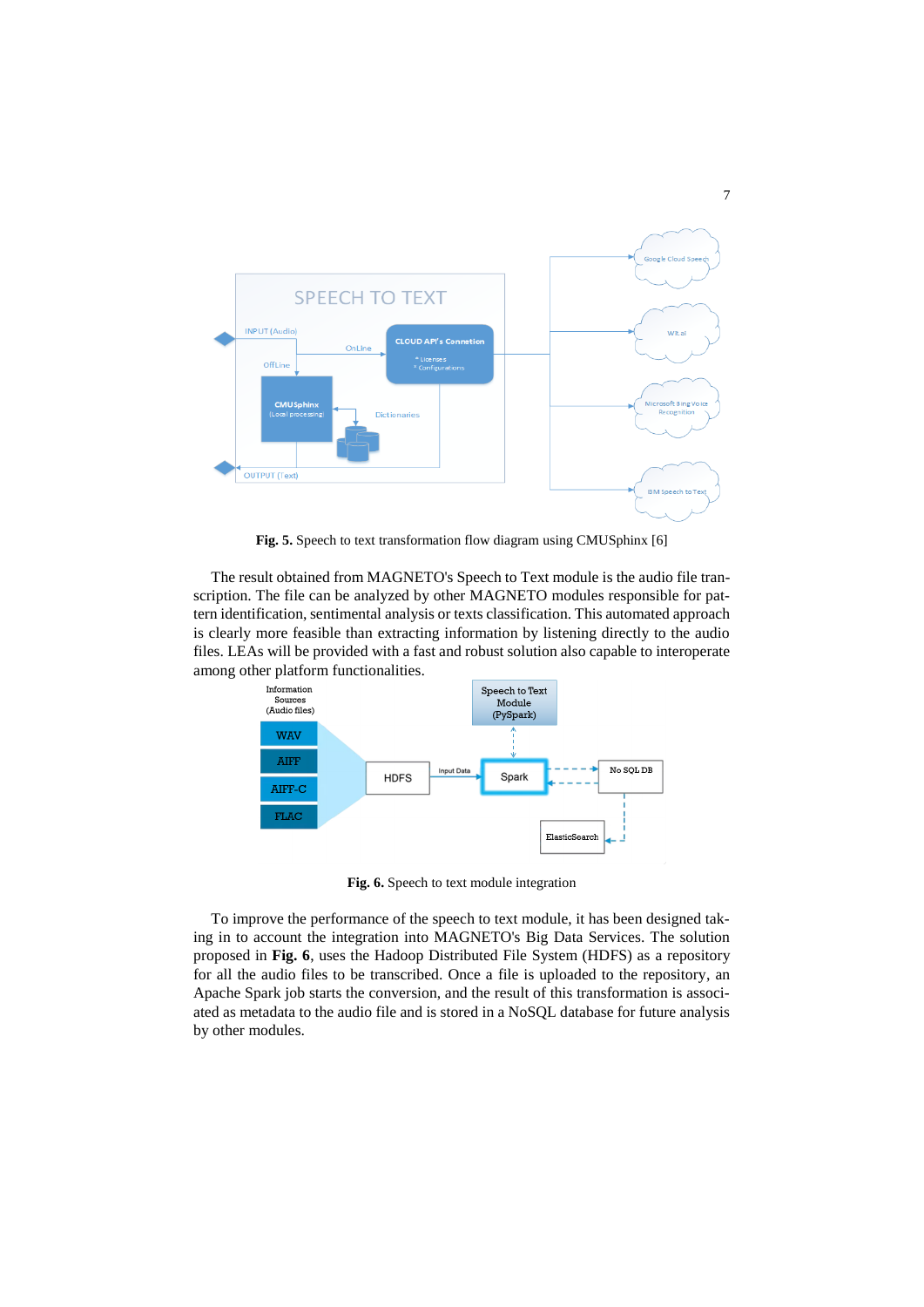

**Fig. 5.** Speech to text transformation flow diagram using CMUSphinx [\[6\]](#page-11-5)

<span id="page-6-0"></span>The result obtained from MAGNETO's Speech to Text module is the audio file transcription. The file can be analyzed by other MAGNETO modules responsible for pattern identification, sentimental analysis or texts classification. This automated approach is clearly more feasible than extracting information by listening directly to the audio files. LEAs will be provided with a fast and robust solution also capable to interoperate among other platform functionalities.



**Fig. 6.** Speech to text module integration

<span id="page-6-1"></span>To improve the performance of the speech to text module, it has been designed taking in to account the integration into MAGNETO's Big Data Services. The solution proposed in **[Fig. 6](#page-6-1)**, uses the Hadoop Distributed File System (HDFS) as a repository for all the audio files to be transcribed. Once a file is uploaded to the repository, an Apache Spark job starts the conversion, and the result of this transformation is associated as metadata to the audio file and is stored in a NoSQL database for future analysis by other modules.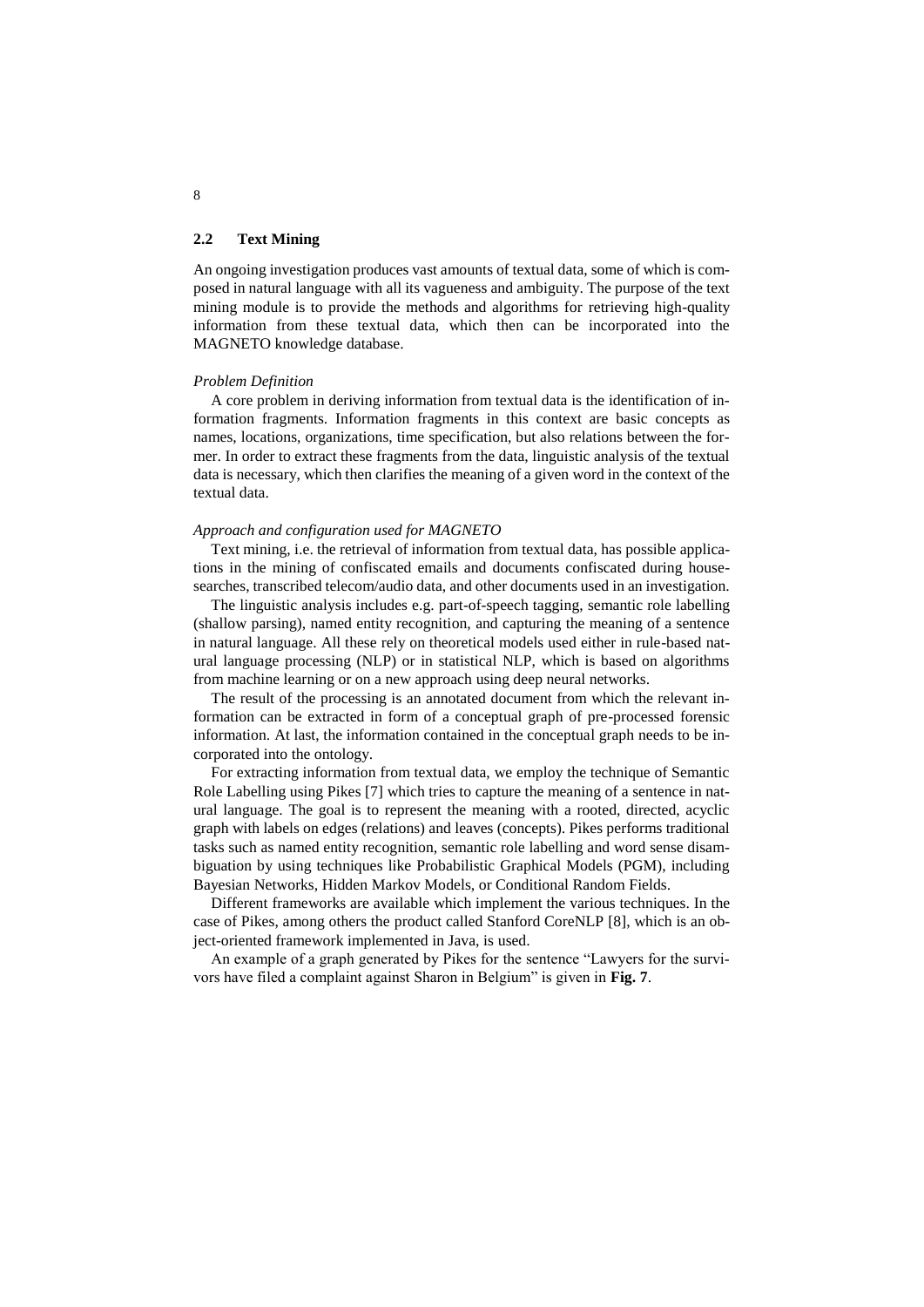## **2.2 Text Mining**

An ongoing investigation produces vast amounts of textual data, some of which is composed in natural language with all its vagueness and ambiguity. The purpose of the text mining module is to provide the methods and algorithms for retrieving high-quality information from these textual data, which then can be incorporated into the MAGNETO knowledge database.

## *Problem Definition*

A core problem in deriving information from textual data is the identification of information fragments. Information fragments in this context are basic concepts as names, locations, organizations, time specification, but also relations between the former. In order to extract these fragments from the data, linguistic analysis of the textual data is necessary, which then clarifies the meaning of a given word in the context of the textual data.

#### *Approach and configuration used for MAGNETO*

Text mining, i.e. the retrieval of information from textual data, has possible applications in the mining of confiscated emails and documents confiscated during housesearches, transcribed telecom/audio data, and other documents used in an investigation.

The linguistic analysis includes e.g. part-of-speech tagging, semantic role labelling (shallow parsing), named entity recognition, and capturing the meaning of a sentence in natural language. All these rely on theoretical models used either in rule-based natural language processing (NLP) or in statistical NLP, which is based on algorithms from machine learning or on a new approach using deep neural networks.

The result of the processing is an annotated document from which the relevant information can be extracted in form of a conceptual graph of pre-processed forensic information. At last, the information contained in the conceptual graph needs to be incorporated into the ontology.

For extracting information from textual data, we employ the technique of Semantic Role Labelling using Pikes [\[7\]](#page-11-6) which tries to capture the meaning of a sentence in natural language. The goal is to represent the meaning with a rooted, directed, acyclic graph with labels on edges (relations) and leaves (concepts). Pikes performs traditional tasks such as named entity recognition, semantic role labelling and word sense disambiguation by using techniques like Probabilistic Graphical Models (PGM), including Bayesian Networks, Hidden Markov Models, or Conditional Random Fields.

Different frameworks are available which implement the various techniques. In the case of Pikes, among others the product called Stanford CoreNLP [\[8\]](#page-11-7), which is an object-oriented framework implemented in Java, is used.

An example of a graph generated by Pikes for the sentence "Lawyers for the survivors have filed a complaint against Sharon in Belgium" is given in **[Fig. 7](#page-8-0)**.

8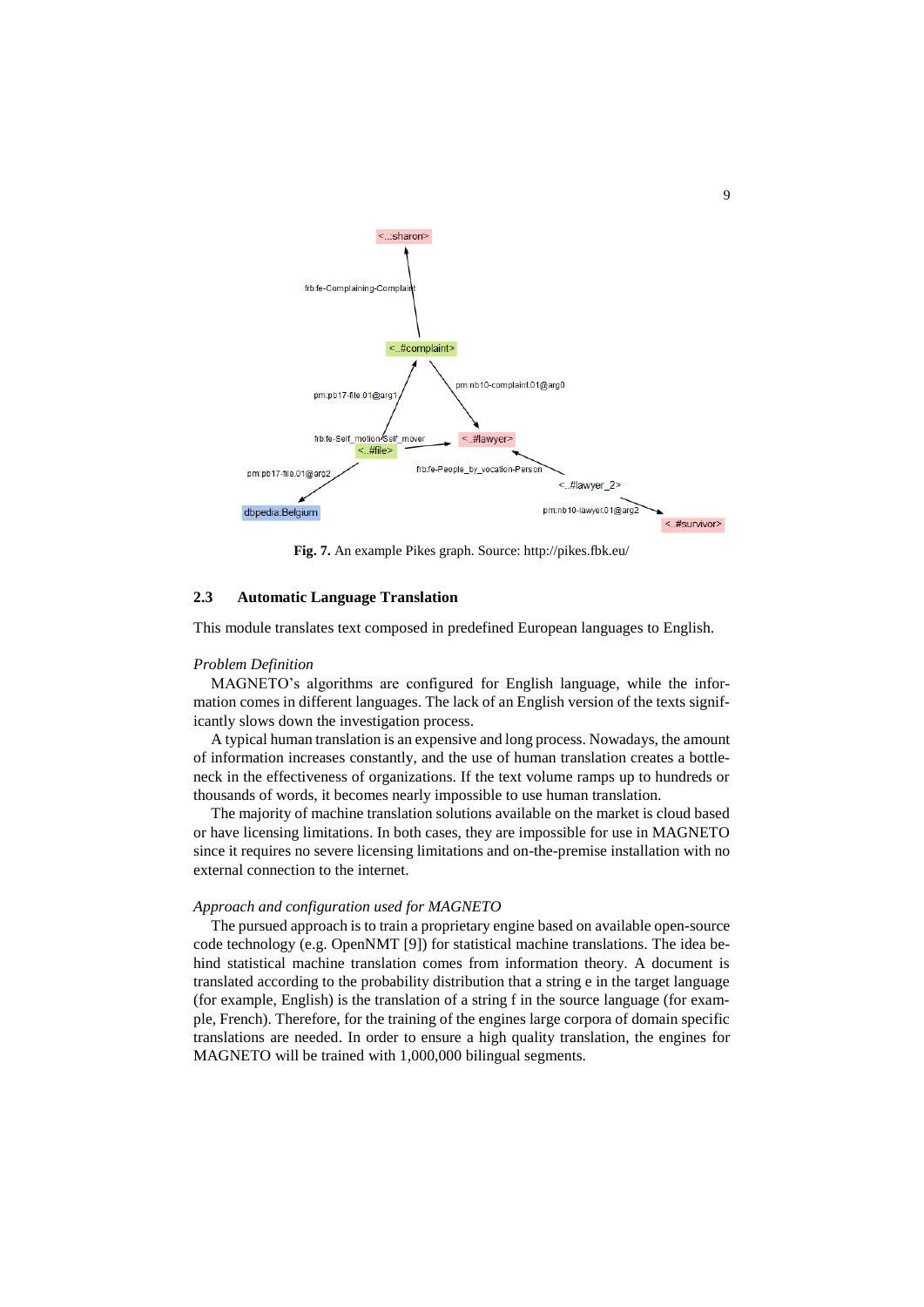

**Fig. 7.** An example Pikes graph. Source: http://pikes.fbk.eu/

### <span id="page-8-0"></span>**2.3 Automatic Language Translation**

This module translates text composed in predefined European languages to English.

#### *Problem Definition*

MAGNETO's algorithms are configured for English language, while the information comes in different languages. The lack of an English version of the texts significantly slows down the investigation process.

A typical human translation is an expensive and long process. Nowadays, the amount of information increases constantly, and the use of human translation creates a bottleneck in the effectiveness of organizations. If the text volume ramps up to hundreds or thousands of words, it becomes nearly impossible to use human translation.

The majority of machine translation solutions available on the market is cloud based or have licensing limitations. In both cases, they are impossible for use in MAGNETO since it requires no severe licensing limitations and on-the-premise installation with no external connection to the internet.

## *Approach and configuration used for MAGNETO*

The pursued approach is to train a proprietary engine based on available open-source code technology (e.g. OpenNMT [\[9\]](#page-11-8)) for statistical machine translations. The idea behind statistical machine translation comes from information theory. A document is translated according to the probability distribution that a string e in the target language (for example, English) is the translation of a string f in the source language (for example, French). Therefore, for the training of the engines large corpora of domain specific translations are needed. In order to ensure a high quality translation, the engines for MAGNETO will be trained with 1,000,000 bilingual segments.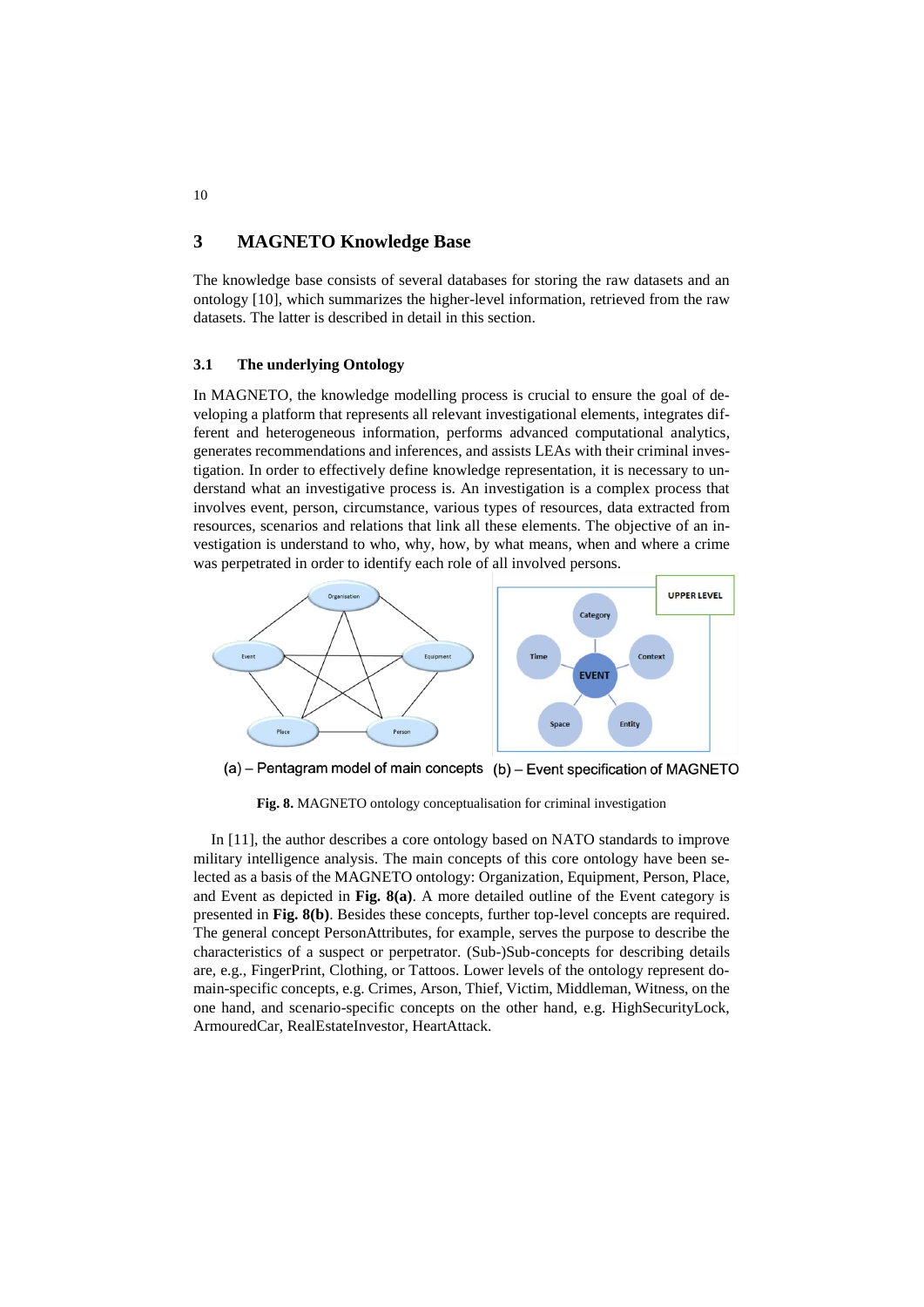# **3 MAGNETO Knowledge Base**

The knowledge base consists of several databases for storing the raw datasets and an ontology [\[10\]](#page-11-9), which summarizes the higher-level information, retrieved from the raw datasets. The latter is described in detail in this section.

# <span id="page-9-1"></span>**3.1 The underlying Ontology**

In MAGNETO, the knowledge modelling process is crucial to ensure the goal of developing a platform that represents all relevant investigational elements, integrates different and heterogeneous information, performs advanced computational analytics, generates recommendations and inferences, and assists LEAs with their criminal investigation. In order to effectively define knowledge representation, it is necessary to understand what an investigative process is. An investigation is a complex process that involves event, person, circumstance, various types of resources, data extracted from resources, scenarios and relations that link all these elements. The objective of an investigation is understand to who, why, how, by what means, when and where a crime was perpetrated in order to identify each role of all involved persons.



<span id="page-9-0"></span>(a) - Pentagram model of main concepts (b) - Event specification of MAGNETO

**Fig. 8.** MAGNETO ontology conceptualisation for criminal investigation

In [\[11\]](#page-11-10), the author describes a core ontology based on NATO standards to improve military intelligence analysis. The main concepts of this core ontology have been selected as a basis of the MAGNETO ontology: Organization, Equipment, Person, Place, and Event as depicted in **[Fig. 8\(](#page-9-0)a)**. A more detailed outline of the Event category is presented in **[Fig. 8\(](#page-9-0)b)**. Besides these concepts, further top-level concepts are required. The general concept PersonAttributes, for example, serves the purpose to describe the characteristics of a suspect or perpetrator. (Sub-)Sub-concepts for describing details are, e.g., FingerPrint, Clothing, or Tattoos. Lower levels of the ontology represent domain-specific concepts, e.g. Crimes, Arson, Thief, Victim, Middleman, Witness, on the one hand, and scenario-specific concepts on the other hand, e.g. HighSecurityLock, ArmouredCar, RealEstateInvestor, HeartAttack.

10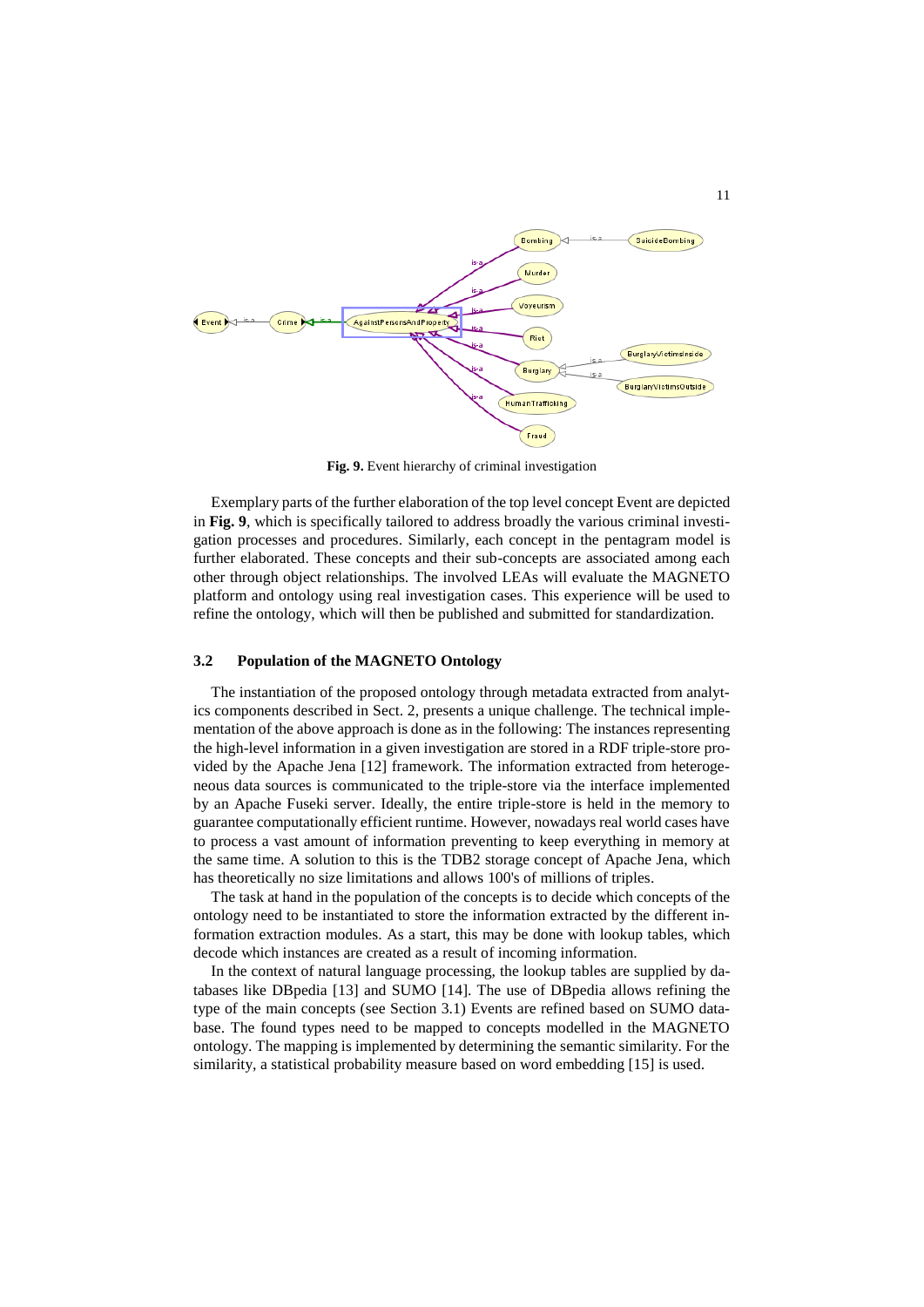

**Fig. 9.** Event hierarchy of criminal investigation

<span id="page-10-0"></span>Exemplary parts of the further elaboration of the top level concept Event are depicted in **[Fig. 9](#page-10-0)**, which is specifically tailored to address broadly the various criminal investigation processes and procedures. Similarly, each concept in the pentagram model is further elaborated. These concepts and their sub-concepts are associated among each other through object relationships. The involved LEAs will evaluate the MAGNETO platform and ontology using real investigation cases. This experience will be used to refine the ontology, which will then be published and submitted for standardization.

#### **3.2 Population of the MAGNETO Ontology**

The instantiation of the proposed ontology through metadata extracted from analytics components described in Sect. [2,](#page-2-0) presents a unique challenge. The technical implementation of the above approach is done as in the following: The instances representing the high-level information in a given investigation are stored in a RDF triple-store provided by the Apache Jena [\[12\]](#page-11-11) framework. The information extracted from heterogeneous data sources is communicated to the triple-store via the interface implemented by an Apache Fuseki server. Ideally, the entire triple-store is held in the memory to guarantee computationally efficient runtime. However, nowadays real world cases have to process a vast amount of information preventing to keep everything in memory at the same time. A solution to this is the TDB2 storage concept of Apache Jena, which has theoretically no size limitations and allows 100's of millions of triples.

The task at hand in the population of the concepts is to decide which concepts of the ontology need to be instantiated to store the information extracted by the different information extraction modules. As a start, this may be done with lookup tables, which decode which instances are created as a result of incoming information.

In the context of natural language processing, the lookup tables are supplied by databases like DBpedia [\[13\]](#page-11-12) and SUMO [\[14\]](#page-11-13). The use of DBpedia allows refining the type of the main concepts (see Section [3.1\)](#page-9-1) Events are refined based on SUMO database. The found types need to be mapped to concepts modelled in the MAGNETO ontology. The mapping is implemented by determining the semantic similarity. For the similarity, a statistical probability measure based on word embedding [\[15\]](#page-11-14) is used.